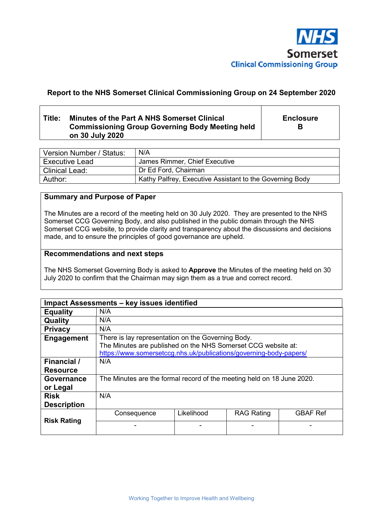

# **Report to the NHS Somerset Clinical Commissioning Group on 24 September 2020**

# **Title: Minutes of the Part A NHS Somerset Clinical Commissioning Group Governing Body Meeting held on 30 July 2020**

**Enclosure B** 

| Version Number / Status: | N/A                                                      |
|--------------------------|----------------------------------------------------------|
| <b>Executive Lead</b>    | James Rimmer, Chief Executive                            |
| <b>Clinical Lead:</b>    | Dr Ed Ford, Chairman                                     |
| Author:                  | Kathy Palfrey, Executive Assistant to the Governing Body |

# **Summary and Purpose of Paper**

The Minutes are a record of the meeting held on 30 July 2020. They are presented to the NHS Somerset CCG Governing Body, and also published in the public domain through the NHS Somerset CCG website, to provide clarity and transparency about the discussions and decisions made, and to ensure the principles of good governance are upheld.

#### **Recommendations and next steps**

The NHS Somerset Governing Body is asked to **Approve** the Minutes of the meeting held on 30 July 2020 to confirm that the Chairman may sign them as a true and correct record.

|                                   | Impact Assessments - key issues identified                                                                                                                                                |            |                   |                 |
|-----------------------------------|-------------------------------------------------------------------------------------------------------------------------------------------------------------------------------------------|------------|-------------------|-----------------|
| <b>Equality</b>                   | N/A                                                                                                                                                                                       |            |                   |                 |
| Quality                           | N/A                                                                                                                                                                                       |            |                   |                 |
| <b>Privacy</b>                    | N/A                                                                                                                                                                                       |            |                   |                 |
| Engagement                        | There is lay representation on the Governing Body.<br>The Minutes are published on the NHS Somerset CCG website at:<br>https://www.somersetccg.nhs.uk/publications/governing-body-papers/ |            |                   |                 |
| Financial /<br><b>Resource</b>    | N/A                                                                                                                                                                                       |            |                   |                 |
| Governance<br>or Legal            | The Minutes are the formal record of the meeting held on 18 June 2020.                                                                                                                    |            |                   |                 |
| <b>Risk</b><br><b>Description</b> | N/A                                                                                                                                                                                       |            |                   |                 |
| <b>Risk Rating</b>                | Consequence                                                                                                                                                                               | Likelihood | <b>RAG Rating</b> | <b>GBAF Ref</b> |
|                                   |                                                                                                                                                                                           |            |                   |                 |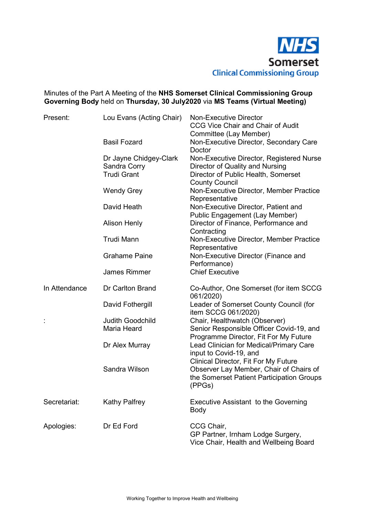

# Minutes of the Part A Meeting of the **NHS Somerset Clinical Commissioning Group Governing Body** held on **Thursday, 30 July2020** via **MS Teams (Virtual Meeting)**

| Present:      | Lou Evans (Acting Chair)               | <b>Non-Executive Director</b><br><b>CCG Vice Chair and Chair of Audit</b><br>Committee (Lay Member)                                           |
|---------------|----------------------------------------|-----------------------------------------------------------------------------------------------------------------------------------------------|
|               | <b>Basil Fozard</b>                    | Non-Executive Director, Secondary Care<br>Doctor                                                                                              |
|               | Dr Jayne Chidgey-Clark<br>Sandra Corry | Non-Executive Director, Registered Nurse<br>Director of Quality and Nursing                                                                   |
|               | <b>Trudi Grant</b>                     | Director of Public Health, Somerset<br><b>County Council</b>                                                                                  |
|               | <b>Wendy Grey</b>                      | Non-Executive Director, Member Practice<br>Representative                                                                                     |
|               | David Heath                            | Non-Executive Director, Patient and<br><b>Public Engagement (Lay Member)</b>                                                                  |
|               | <b>Alison Henly</b>                    | Director of Finance, Performance and<br>Contracting                                                                                           |
|               | <b>Trudi Mann</b>                      | Non-Executive Director, Member Practice<br>Representative                                                                                     |
|               | <b>Grahame Paine</b>                   | Non-Executive Director (Finance and<br>Performance)                                                                                           |
|               | <b>James Rimmer</b>                    | <b>Chief Executive</b>                                                                                                                        |
| In Attendance | Dr Carlton Brand                       | Co-Author, One Somerset (for item SCCG<br>061/2020)                                                                                           |
|               | David Fothergill                       | Leader of Somerset County Council (for<br>item SCCG 061/2020)                                                                                 |
| Ì,            | <b>Judith Goodchild</b><br>Maria Heard | Chair, Healthwatch (Observer)<br>Senior Responsible Officer Covid-19, and<br>Programme Director, Fit For My Future                            |
|               | Dr Alex Murray                         | Lead Clinician for Medical/Primary Care<br>input to Covid-19, and                                                                             |
|               | Sandra Wilson                          | <b>Clinical Director, Fit For My Future</b><br>Observer Lay Member, Chair of Chairs of<br>the Somerset Patient Participation Groups<br>(PPGs) |
| Secretariat:  | <b>Kathy Palfrey</b>                   | <b>Executive Assistant to the Governing</b><br>Body                                                                                           |
| Apologies:    | Dr Ed Ford                             | CCG Chair,<br>GP Partner, Irnham Lodge Surgery,<br>Vice Chair, Health and Wellbeing Board                                                     |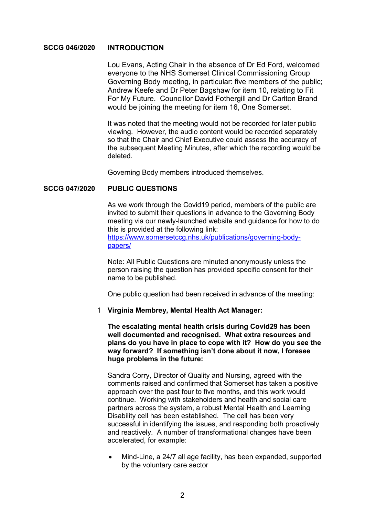## **SCCG 046/2020 INTRODUCTION**

Lou Evans, Acting Chair in the absence of Dr Ed Ford, welcomed everyone to the NHS Somerset Clinical Commissioning Group Governing Body meeting, in particular: five members of the public; Andrew Keefe and Dr Peter Bagshaw for item 10, relating to Fit For My Future. Councillor David Fothergill and Dr Carlton Brand would be joining the meeting for item 16, One Somerset.

 It was noted that the meeting would not be recorded for later public viewing. However, the audio content would be recorded separately so that the Chair and Chief Executive could assess the accuracy of the subsequent Meeting Minutes, after which the recording would be deleted.

Governing Body members introduced themselves.

#### **SCCG 047/2020 PUBLIC QUESTIONS**

 As we work through the Covid19 period, members of the public are invited to submit their questions in advance to the Governing Body meeting via our newly-launched website and guidance for how to do this is provided at the following link: https://www.somersetccg.nhs.uk/publications/governing-bodypapers/

 Note: All Public Questions are minuted anonymously unless the person raising the question has provided specific consent for their

One public question had been received in advance of the meeting:

## 1 **Virginia Membrey, Mental Health Act Manager:**

name to be published.

**The escalating mental health crisis during Covid29 has been well documented and recognised. What extra resources and plans do you have in place to cope with it? How do you see the way forward? If something isn't done about it now, I foresee huge problems in the future:** 

 Sandra Corry, Director of Quality and Nursing, agreed with the comments raised and confirmed that Somerset has taken a positive approach over the past four to five months, and this work would continue. Working with stakeholders and health and social care partners across the system, a robust Mental Health and Learning Disability cell has been established. The cell has been very successful in identifying the issues, and responding both proactively and reactively. A number of transformational changes have been accelerated, for example:

 Mind-Line, a 24/7 all age facility, has been expanded, supported by the voluntary care sector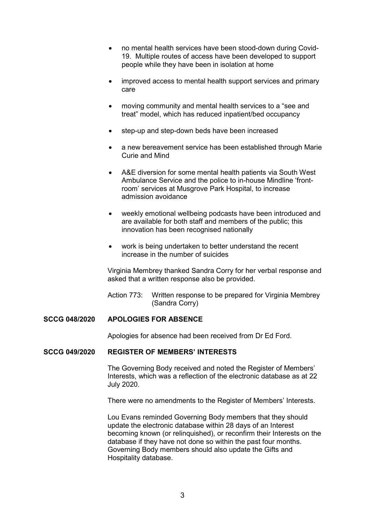- no mental health services have been stood-down during Covid-19. Multiple routes of access have been developed to support people while they have been in isolation at home
- improved access to mental health support services and primary care
- moving community and mental health services to a "see and treat" model, which has reduced inpatient/bed occupancy
- step-up and step-down beds have been increased
- a new bereavement service has been established through Marie Curie and Mind
- A&E diversion for some mental health patients via South West Ambulance Service and the police to in-house Mindline 'frontroom' services at Musgrove Park Hospital, to increase admission avoidance
- weekly emotional wellbeing podcasts have been introduced and are available for both staff and members of the public; this innovation has been recognised nationally
- work is being undertaken to better understand the recent increase in the number of suicides

 Virginia Membrey thanked Sandra Corry for her verbal response and asked that a written response also be provided.

Action 773: Written response to be prepared for Virginia Membrey (Sandra Corry)

# **SCCG 048/2020 APOLOGIES FOR ABSENCE**

Apologies for absence had been received from Dr Ed Ford.

#### **SCCG 049/2020 REGISTER OF MEMBERS' INTERESTS**

 The Governing Body received and noted the Register of Members' Interests, which was a reflection of the electronic database as at 22 July 2020.

There were no amendments to the Register of Members' Interests.

Lou Evans reminded Governing Body members that they should update the electronic database within 28 days of an Interest becoming known (or relinquished), or reconfirm their Interests on the database if they have not done so within the past four months. Governing Body members should also update the Gifts and Hospitality database.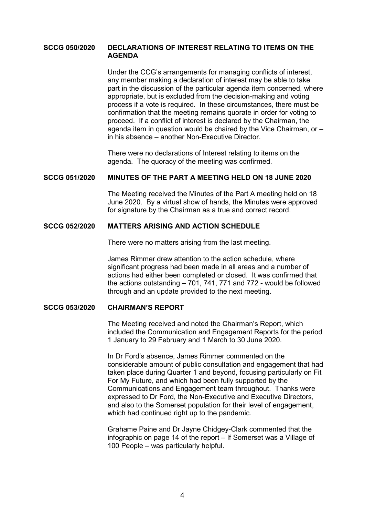## **SCCG 050/2020 DECLARATIONS OF INTEREST RELATING TO ITEMS ON THE AGENDA**

 Under the CCG's arrangements for managing conflicts of interest, any member making a declaration of interest may be able to take part in the discussion of the particular agenda item concerned, where appropriate, but is excluded from the decision-making and voting process if a vote is required. In these circumstances, there must be confirmation that the meeting remains quorate in order for voting to proceed. If a conflict of interest is declared by the Chairman, the agenda item in question would be chaired by the Vice Chairman, or – in his absence – another Non-Executive Director.

 There were no declarations of Interest relating to items on the agenda. The quoracy of the meeting was confirmed.

#### **SCCG 051/2020 MINUTES OF THE PART A MEETING HELD ON 18 JUNE 2020**

 The Meeting received the Minutes of the Part A meeting held on 18 June 2020. By a virtual show of hands, the Minutes were approved for signature by the Chairman as a true and correct record.

## **SCCG 052/2020 MATTERS ARISING AND ACTION SCHEDULE**

There were no matters arising from the last meeting.

 James Rimmer drew attention to the action schedule, where significant progress had been made in all areas and a number of actions had either been completed or closed. It was confirmed that the actions outstanding – 701, 741, 771 and 772 - would be followed through and an update provided to the next meeting.

#### **SCCG 053/2020 CHAIRMAN'S REPORT**

 The Meeting received and noted the Chairman's Report, which included the Communication and Engagement Reports for the period 1 January to 29 February and 1 March to 30 June 2020.

 In Dr Ford's absence, James Rimmer commented on the considerable amount of public consultation and engagement that had taken place during Quarter 1 and beyond, focusing particularly on Fit For My Future, and which had been fully supported by the Communications and Engagement team throughout. Thanks were expressed to Dr Ford, the Non-Executive and Executive Directors, and also to the Somerset population for their level of engagement, which had continued right up to the pandemic.

 Grahame Paine and Dr Jayne Chidgey-Clark commented that the infographic on page 14 of the report – If Somerset was a Village of 100 People – was particularly helpful.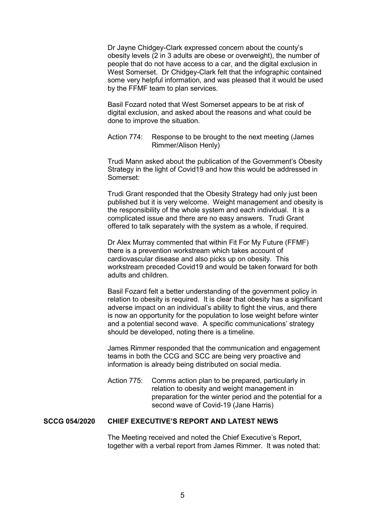Dr Jayne Chidgey-Clark expressed concern about the county's obesity levels (2 in 3 adults are obese or overweight), the number of people that do not have access to a car, and the digital exclusion in West Somerset. Dr Chidgey-Clark felt that the infographic contained some very helpful information, and was pleased that it would be used by the FFMF team to plan services.

 Basil Fozard noted that West Somerset appears to be at risk of digital exclusion, and asked about the reasons and what could be done to improve the situation.

 Action 774: Response to be brought to the next meeting (James Rimmer/Alison Henly)

 Trudi Mann asked about the publication of the Government's Obesity Strategy in the light of Covid19 and how this would be addressed in Somerset:

 Trudi Grant responded that the Obesity Strategy had only just been published but it is very welcome. Weight management and obesity is the responsibility of the whole system and each individual. It is a complicated issue and there are no easy answers. Trudi Grant offered to talk separately with the system as a whole, if required.

 Dr Alex Murray commented that within Fit For My Future (FFMF) there is a prevention workstream which takes account of cardiovascular disease and also picks up on obesity. This workstream preceded Covid19 and would be taken forward for both adults and children.

 Basil Fozard felt a better understanding of the government policy in relation to obesity is required. It is clear that obesity has a significant adverse impact on an individual's ability to fight the virus, and there is now an opportunity for the population to lose weight before winter and a potential second wave. A specific communications' strategy should be developed, noting there is a timeline.

 James Rimmer responded that the communication and engagement teams in both the CCG and SCC are being very proactive and information is already being distributed on social media.

 Action 775: Comms action plan to be prepared, particularly in relation to obesity and weight management in preparation for the winter period and the potential for a second wave of Covid-19 (Jane Harris)

## **SCCG 054/2020 CHIEF EXECUTIVE'S REPORT AND LATEST NEWS**

 The Meeting received and noted the Chief Executive's Report, together with a verbal report from James Rimmer. It was noted that: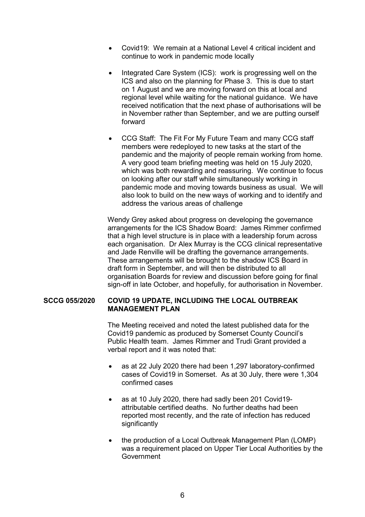- Covid19: We remain at a National Level 4 critical incident and continue to work in pandemic mode locally
- Integrated Care System (ICS): work is progressing well on the ICS and also on the planning for Phase 3. This is due to start on 1 August and we are moving forward on this at local and regional level while waiting for the national guidance. We have received notification that the next phase of authorisations will be in November rather than September, and we are putting ourself forward
- CCG Staff: The Fit For My Future Team and many CCG staff members were redeployed to new tasks at the start of the pandemic and the majority of people remain working from home. A very good team briefing meeting was held on 15 July 2020, which was both rewarding and reassuring. We continue to focus on looking after our staff while simultaneously working in pandemic mode and moving towards business as usual. We will also look to build on the new ways of working and to identify and address the various areas of challenge

 Wendy Grey asked about progress on developing the governance arrangements for the ICS Shadow Board: James Rimmer confirmed that a high level structure is in place with a leadership forum across each organisation. Dr Alex Murray is the CCG clinical representative and Jade Renville will be drafting the governance arrangements. These arrangements will be brought to the shadow ICS Board in draft form in September, and will then be distributed to all organisation Boards for review and discussion before going for final sign-off in late October, and hopefully, for authorisation in November.

## **SCCG 055/2020 COVID 19 UPDATE, INCLUDING THE LOCAL OUTBREAK MANAGEMENT PLAN**

 The Meeting received and noted the latest published data for the Covid19 pandemic as produced by Somerset County Council's Public Health team. James Rimmer and Trudi Grant provided a verbal report and it was noted that:

- as at 22 July 2020 there had been 1,297 laboratory-confirmed cases of Covid19 in Somerset. As at 30 July, there were 1,304 confirmed cases
- as at 10 July 2020, there had sadly been 201 Covid19 attributable certified deaths. No further deaths had been reported most recently, and the rate of infection has reduced significantly
- the production of a Local Outbreak Management Plan (LOMP) was a requirement placed on Upper Tier Local Authorities by the Government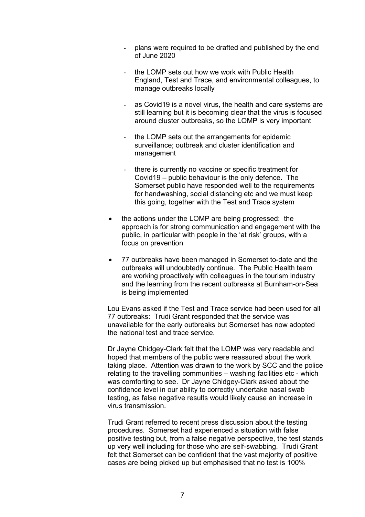- plans were required to be drafted and published by the end of June 2020
- the LOMP sets out how we work with Public Health England, Test and Trace, and environmental colleagues, to manage outbreaks locally
- as Covid19 is a novel virus, the health and care systems are still learning but it is becoming clear that the virus is focused around cluster outbreaks, so the LOMP is very important
- the LOMP sets out the arrangements for epidemic surveillance; outbreak and cluster identification and management
- there is currently no vaccine or specific treatment for Covid19 – public behaviour is the only defence. The Somerset public have responded well to the requirements for handwashing, social distancing etc and we must keep this going, together with the Test and Trace system
- the actions under the LOMP are being progressed: the approach is for strong communication and engagement with the public, in particular with people in the 'at risk' groups, with a focus on prevention
- 77 outbreaks have been managed in Somerset to-date and the outbreaks will undoubtedly continue. The Public Health team are working proactively with colleagues in the tourism industry and the learning from the recent outbreaks at Burnham-on-Sea is being implemented

 Lou Evans asked if the Test and Trace service had been used for all 77 outbreaks: Trudi Grant responded that the service was unavailable for the early outbreaks but Somerset has now adopted the national test and trace service.

 Dr Jayne Chidgey-Clark felt that the LOMP was very readable and hoped that members of the public were reassured about the work taking place. Attention was drawn to the work by SCC and the police relating to the travelling communities – washing facilities etc - which was comforting to see. Dr Jayne Chidgey-Clark asked about the confidence level in our ability to correctly undertake nasal swab testing, as false negative results would likely cause an increase in virus transmission.

 Trudi Grant referred to recent press discussion about the testing procedures. Somerset had experienced a situation with false positive testing but, from a false negative perspective, the test stands up very well including for those who are self-swabbing. Trudi Grant felt that Somerset can be confident that the vast majority of positive cases are being picked up but emphasised that no test is 100%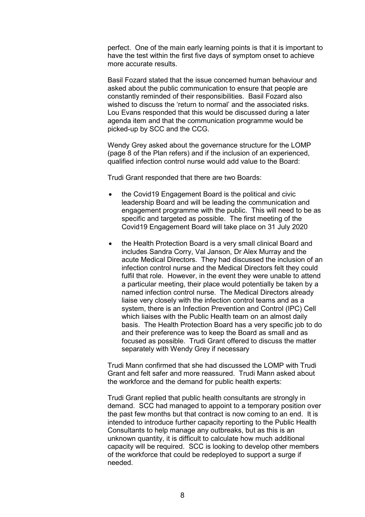perfect. One of the main early learning points is that it is important to have the test within the first five days of symptom onset to achieve more accurate results.

 Basil Fozard stated that the issue concerned human behaviour and asked about the public communication to ensure that people are constantly reminded of their responsibilities. Basil Fozard also wished to discuss the 'return to normal' and the associated risks. Lou Evans responded that this would be discussed during a later agenda item and that the communication programme would be picked-up by SCC and the CCG.

 Wendy Grey asked about the governance structure for the LOMP (page 8 of the Plan refers) and if the inclusion of an experienced, qualified infection control nurse would add value to the Board:

Trudi Grant responded that there are two Boards:

- the Covid19 Engagement Board is the political and civic leadership Board and will be leading the communication and engagement programme with the public. This will need to be as specific and targeted as possible. The first meeting of the Covid19 Engagement Board will take place on 31 July 2020
- the Health Protection Board is a very small clinical Board and includes Sandra Corry, Val Janson, Dr Alex Murray and the acute Medical Directors. They had discussed the inclusion of an infection control nurse and the Medical Directors felt they could fulfil that role. However, in the event they were unable to attend a particular meeting, their place would potentially be taken by a named infection control nurse. The Medical Directors already liaise very closely with the infection control teams and as a system, there is an Infection Prevention and Control (IPC) Cell which liaises with the Public Health team on an almost daily basis. The Health Protection Board has a very specific job to do and their preference was to keep the Board as small and as focused as possible. Trudi Grant offered to discuss the matter separately with Wendy Grey if necessary

 Trudi Mann confirmed that she had discussed the LOMP with Trudi Grant and felt safer and more reassured. Trudi Mann asked about the workforce and the demand for public health experts:

 Trudi Grant replied that public health consultants are strongly in demand. SCC had managed to appoint to a temporary position over the past few months but that contract is now coming to an end. It is intended to introduce further capacity reporting to the Public Health Consultants to help manage any outbreaks, but as this is an unknown quantity, it is difficult to calculate how much additional capacity will be required. SCC is looking to develop other members of the workforce that could be redeployed to support a surge if needed.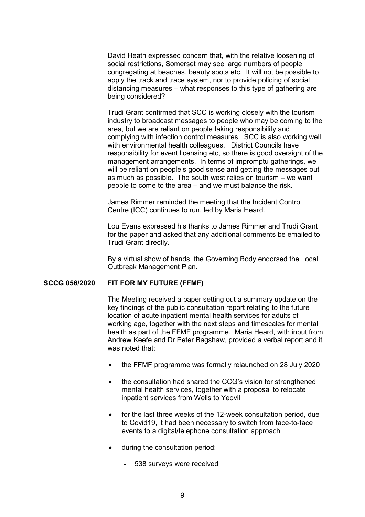David Heath expressed concern that, with the relative loosening of social restrictions, Somerset may see large numbers of people congregating at beaches, beauty spots etc. It will not be possible to apply the track and trace system, nor to provide policing of social distancing measures – what responses to this type of gathering are being considered?

 Trudi Grant confirmed that SCC is working closely with the tourism industry to broadcast messages to people who may be coming to the area, but we are reliant on people taking responsibility and complying with infection control measures. SCC is also working well with environmental health colleagues. District Councils have responsibility for event licensing etc, so there is good oversight of the management arrangements. In terms of impromptu gatherings, we will be reliant on people's good sense and getting the messages out as much as possible. The south west relies on tourism – we want people to come to the area – and we must balance the risk.

 James Rimmer reminded the meeting that the Incident Control Centre (ICC) continues to run, led by Maria Heard.

 Lou Evans expressed his thanks to James Rimmer and Trudi Grant for the paper and asked that any additional comments be emailed to Trudi Grant directly.

 By a virtual show of hands, the Governing Body endorsed the Local Outbreak Management Plan.

#### **SCCG 056/2020 FIT FOR MY FUTURE (FFMF)**

 The Meeting received a paper setting out a summary update on the key findings of the public consultation report relating to the future location of acute inpatient mental health services for adults of working age, together with the next steps and timescales for mental health as part of the FFMF programme. Maria Heard, with input from Andrew Keefe and Dr Peter Bagshaw, provided a verbal report and it was noted that:

- the FFMF programme was formally relaunched on 28 July 2020
- the consultation had shared the CCG's vision for strengthened mental health services, together with a proposal to relocate inpatient services from Wells to Yeovil
- for the last three weeks of the 12-week consultation period, due to Covid19, it had been necessary to switch from face-to-face events to a digital/telephone consultation approach
- during the consultation period:
	- 538 surveys were received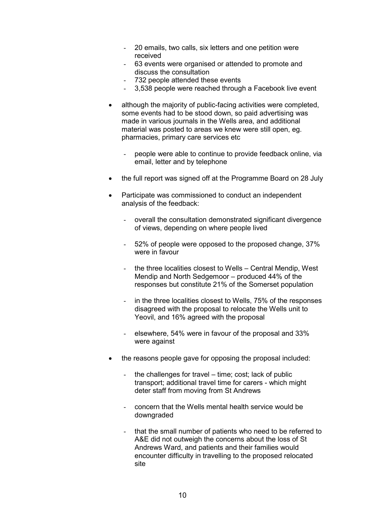- 20 emails, two calls, six letters and one petition were received
- 63 events were organised or attended to promote and discuss the consultation
- 732 people attended these events
- 3,538 people were reached through a Facebook live event
- although the majority of public-facing activities were completed, some events had to be stood down, so paid advertising was made in various journals in the Wells area, and additional material was posted to areas we knew were still open, eg. pharmacies, primary care services etc
	- people were able to continue to provide feedback online, via email, letter and by telephone
- the full report was signed off at the Programme Board on 28 July
- Participate was commissioned to conduct an independent analysis of the feedback:
	- overall the consultation demonstrated significant divergence of views, depending on where people lived
	- 52% of people were opposed to the proposed change, 37% were in favour
	- the three localities closest to Wells Central Mendip, West Mendip and North Sedgemoor – produced 44% of the responses but constitute 21% of the Somerset population
	- in the three localities closest to Wells, 75% of the responses disagreed with the proposal to relocate the Wells unit to Yeovil, and 16% agreed with the proposal
	- elsewhere, 54% were in favour of the proposal and 33% were against
- the reasons people gave for opposing the proposal included:
	- the challenges for travel  $-$  time; cost; lack of public transport; additional travel time for carers - which might deter staff from moving from St Andrews
	- concern that the Wells mental health service would be downgraded
	- that the small number of patients who need to be referred to A&E did not outweigh the concerns about the loss of St Andrews Ward, and patients and their families would encounter difficulty in travelling to the proposed relocated site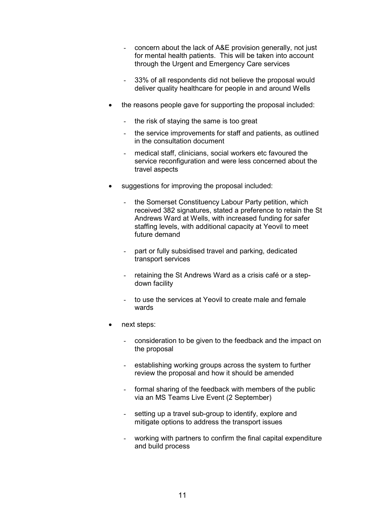- concern about the lack of A&E provision generally, not just for mental health patients. This will be taken into account through the Urgent and Emergency Care services
- 33% of all respondents did not believe the proposal would deliver quality healthcare for people in and around Wells
- the reasons people gave for supporting the proposal included:
	- the risk of staying the same is too great
	- the service improvements for staff and patients, as outlined in the consultation document
	- medical staff, clinicians, social workers etc favoured the service reconfiguration and were less concerned about the travel aspects
- suggestions for improving the proposal included:
	- the Somerset Constituency Labour Party petition, which received 382 signatures, stated a preference to retain the St Andrews Ward at Wells, with increased funding for safer staffing levels, with additional capacity at Yeovil to meet future demand
	- part or fully subsidised travel and parking, dedicated transport services
	- retaining the St Andrews Ward as a crisis café or a stepdown facility
	- to use the services at Yeovil to create male and female wards
- next steps:
	- consideration to be given to the feedback and the impact on the proposal
	- establishing working groups across the system to further review the proposal and how it should be amended
	- formal sharing of the feedback with members of the public via an MS Teams Live Event (2 September)
	- setting up a travel sub-group to identify, explore and mitigate options to address the transport issues
	- working with partners to confirm the final capital expenditure and build process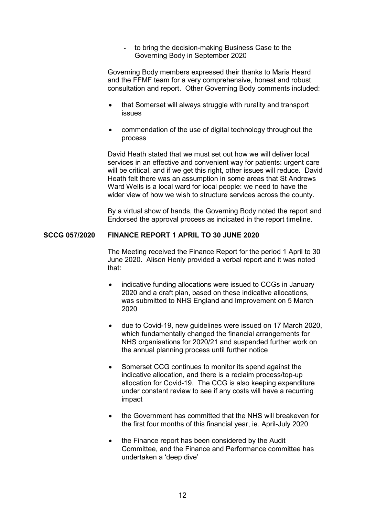to bring the decision-making Business Case to the Governing Body in September 2020

 Governing Body members expressed their thanks to Maria Heard and the FFMF team for a very comprehensive, honest and robust consultation and report. Other Governing Body comments included:

- that Somerset will always struggle with rurality and transport issues
- commendation of the use of digital technology throughout the process

 David Heath stated that we must set out how we will deliver local services in an effective and convenient way for patients: urgent care will be critical, and if we get this right, other issues will reduce. David Heath felt there was an assumption in some areas that St Andrews Ward Wells is a local ward for local people: we need to have the wider view of how we wish to structure services across the county.

 By a virtual show of hands, the Governing Body noted the report and Endorsed the approval process as indicated in the report timeline.

#### **SCCG 057/2020 FINANCE REPORT 1 APRIL TO 30 JUNE 2020**

 The Meeting received the Finance Report for the period 1 April to 30 June 2020. Alison Henly provided a verbal report and it was noted that:

- indicative funding allocations were issued to CCGs in January 2020 and a draft plan, based on these indicative allocations, was submitted to NHS England and Improvement on 5 March 2020
- due to Covid-19, new guidelines were issued on 17 March 2020, which fundamentally changed the financial arrangements for NHS organisations for 2020/21 and suspended further work on the annual planning process until further notice
- Somerset CCG continues to monitor its spend against the indicative allocation, and there is a reclaim process/top-up allocation for Covid-19. The CCG is also keeping expenditure under constant review to see if any costs will have a recurring impact
- the Government has committed that the NHS will breakeven for the first four months of this financial year, ie. April-July 2020
- the Finance report has been considered by the Audit Committee, and the Finance and Performance committee has undertaken a 'deep dive'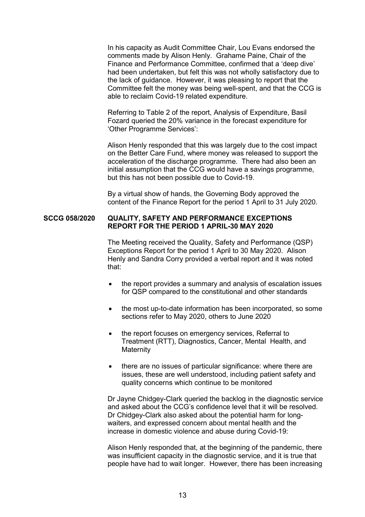In his capacity as Audit Committee Chair, Lou Evans endorsed the comments made by Alison Henly. Grahame Paine, Chair of the Finance and Performance Committee, confirmed that a 'deep dive' had been undertaken, but felt this was not wholly satisfactory due to the lack of guidance. However, it was pleasing to report that the Committee felt the money was being well-spent, and that the CCG is able to reclaim Covid-19 related expenditure.

 Referring to Table 2 of the report, Analysis of Expenditure, Basil Fozard queried the 20% variance in the forecast expenditure for 'Other Programme Services':

 Alison Henly responded that this was largely due to the cost impact on the Better Care Fund, where money was released to support the acceleration of the discharge programme. There had also been an initial assumption that the CCG would have a savings programme, but this has not been possible due to Covid-19.

 By a virtual show of hands, the Governing Body approved the content of the Finance Report for the period 1 April to 31 July 2020.

## **SCCG 058/2020 QUALITY, SAFETY AND PERFORMANCE EXCEPTIONS REPORT FOR THE PERIOD 1 APRIL-30 MAY 2020**

 The Meeting received the Quality, Safety and Performance (QSP) Exceptions Report for the period 1 April to 30 May 2020. Alison Henly and Sandra Corry provided a verbal report and it was noted that:

- the report provides a summary and analysis of escalation issues for QSP compared to the constitutional and other standards
- the most up-to-date information has been incorporated, so some sections refer to May 2020, others to June 2020
- the report focuses on emergency services, Referral to Treatment (RTT), Diagnostics, Cancer, Mental Health, and **Maternity**
- there are no issues of particular significance: where there are issues, these are well understood, including patient safety and quality concerns which continue to be monitored

 Dr Jayne Chidgey-Clark queried the backlog in the diagnostic service and asked about the CCG's confidence level that it will be resolved. Dr Chidgey-Clark also asked about the potential harm for longwaiters, and expressed concern about mental health and the increase in domestic violence and abuse during Covid-19:

 Alison Henly responded that, at the beginning of the pandemic, there was insufficient capacity in the diagnostic service, and it is true that people have had to wait longer. However, there has been increasing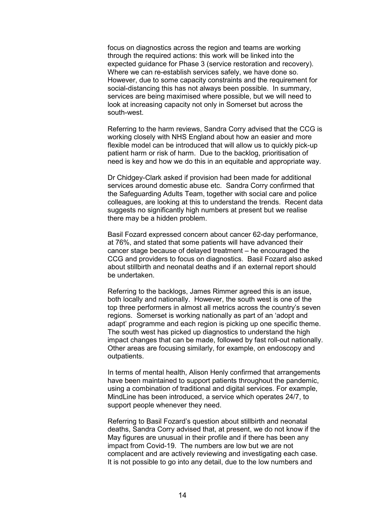focus on diagnostics across the region and teams are working through the required actions: this work will be linked into the expected guidance for Phase 3 (service restoration and recovery). Where we can re-establish services safely, we have done so. However, due to some capacity constraints and the requirement for social-distancing this has not always been possible. In summary, services are being maximised where possible, but we will need to look at increasing capacity not only in Somerset but across the south-west.

 Referring to the harm reviews, Sandra Corry advised that the CCG is working closely with NHS England about how an easier and more flexible model can be introduced that will allow us to quickly pick-up patient harm or risk of harm. Due to the backlog, prioritisation of need is key and how we do this in an equitable and appropriate way.

 Dr Chidgey-Clark asked if provision had been made for additional services around domestic abuse etc. Sandra Corry confirmed that the Safeguarding Adults Team, together with social care and police colleagues, are looking at this to understand the trends. Recent data suggests no significantly high numbers at present but we realise there may be a hidden problem.

 Basil Fozard expressed concern about cancer 62-day performance, at 76%, and stated that some patients will have advanced their cancer stage because of delayed treatment – he encouraged the CCG and providers to focus on diagnostics. Basil Fozard also asked about stillbirth and neonatal deaths and if an external report should be undertaken.

 Referring to the backlogs, James Rimmer agreed this is an issue, both locally and nationally. However, the south west is one of the top three performers in almost all metrics across the country's seven regions. Somerset is working nationally as part of an 'adopt and adapt' programme and each region is picking up one specific theme. The south west has picked up diagnostics to understand the high impact changes that can be made, followed by fast roll-out nationally. Other areas are focusing similarly, for example, on endoscopy and outpatients.

 In terms of mental health, Alison Henly confirmed that arrangements have been maintained to support patients throughout the pandemic, using a combination of traditional and digital services. For example, MindLine has been introduced, a service which operates 24/7, to support people whenever they need.

 Referring to Basil Fozard's question about stillbirth and neonatal deaths, Sandra Corry advised that, at present, we do not know if the May figures are unusual in their profile and if there has been any impact from Covid-19. The numbers are low but we are not complacent and are actively reviewing and investigating each case. It is not possible to go into any detail, due to the low numbers and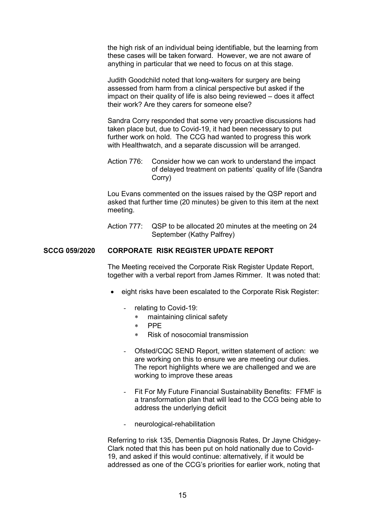the high risk of an individual being identifiable, but the learning from these cases will be taken forward. However, we are not aware of anything in particular that we need to focus on at this stage.

 Judith Goodchild noted that long-waiters for surgery are being assessed from harm from a clinical perspective but asked if the impact on their quality of life is also being reviewed – does it affect their work? Are they carers for someone else?

 Sandra Corry responded that some very proactive discussions had taken place but, due to Covid-19, it had been necessary to put further work on hold. The CCG had wanted to progress this work with Healthwatch, and a separate discussion will be arranged.

 Action 776: Consider how we can work to understand the impact of delayed treatment on patients' quality of life (Sandra Corry)

 Lou Evans commented on the issues raised by the QSP report and asked that further time (20 minutes) be given to this item at the next meeting.

Action 777: QSP to be allocated 20 minutes at the meeting on 24 September (Kathy Palfrey)

## **SCCG 059/2020 CORPORATE RISK REGISTER UPDATE REPORT**

 The Meeting received the Corporate Risk Register Update Report, together with a verbal report from James Rimmer. It was noted that:

- eight risks have been escalated to the Corporate Risk Register:
	- relating to Covid-19:
		- maintaining clinical safety
		- PPE
		- Risk of nosocomial transmission
	- Ofsted/CQC SEND Report, written statement of action: we are working on this to ensure we are meeting our duties. The report highlights where we are challenged and we are working to improve these areas
	- Fit For My Future Financial Sustainability Benefits: FFMF is a transformation plan that will lead to the CCG being able to address the underlying deficit
	- neurological-rehabilitation

 Referring to risk 135, Dementia Diagnosis Rates, Dr Jayne Chidgey-Clark noted that this has been put on hold nationally due to Covid-19, and asked if this would continue: alternatively, if it would be addressed as one of the CCG's priorities for earlier work, noting that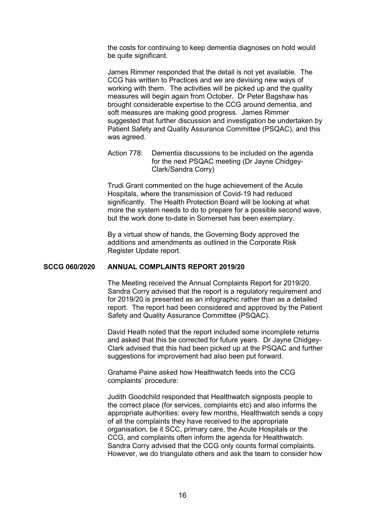the costs for continuing to keep dementia diagnoses on hold would be quite significant.

 James Rimmer responded that the detail is not yet available. The CCG has written to Practices and we are devising new ways of working with them. The activities will be picked up and the quality measures will begin again from October. Dr Peter Bagshaw has brought considerable expertise to the CCG around dementia, and soft measures are making good progress. James Rimmer suggested that further discussion and investigation be undertaken by Patient Safety and Quality Assurance Committee (PSQAC), and this was agreed.

 Action 778: Dementia discussions to be included on the agenda for the next PSQAC meeting (Dr Jayne Chidgey-Clark/Sandra Corry)

 Trudi Grant commented on the huge achievement of the Acute Hospitals, where the transmission of Covid-19 had reduced significantly. The Health Protection Board will be looking at what more the system needs to do to prepare for a possible second wave, but the work done to-date in Somerset has been exemplary.

 By a virtual show of hands, the Governing Body approved the additions and amendments as outlined in the Corporate Risk Register Update report.

#### **SCCG 060/2020 ANNUAL COMPLAINTS REPORT 2019/20**

 The Meeting received the Annual Complaints Report for 2019/20. Sandra Corry advised that the report is a regulatory requirement and for 2019/20 is presented as an infographic rather than as a detailed report. The report had been considered and approved by the Patient Safety and Quality Assurance Committee (PSQAC).

 David Heath noted that the report included some incomplete returns and asked that this be corrected for future years. Dr Jayne Chidgey-Clark advised that this had been picked up at the PSQAC and further suggestions for improvement had also been put forward.

 Grahame Paine asked how Healthwatch feeds into the CCG complaints' procedure:

 Judith Goodchild responded that Healthwatch signposts people to the correct place (for services, complaints etc) and also informs the appropriate authorities: every few months, Healthwatch sends a copy of all the complaints they have received to the appropriate organisation, be it SCC, primary care, the Acute Hospitals or the CCG, and complaints often inform the agenda for Healthwatch. Sandra Corry advised that the CCG only counts formal complaints. However, we do triangulate others and ask the team to consider how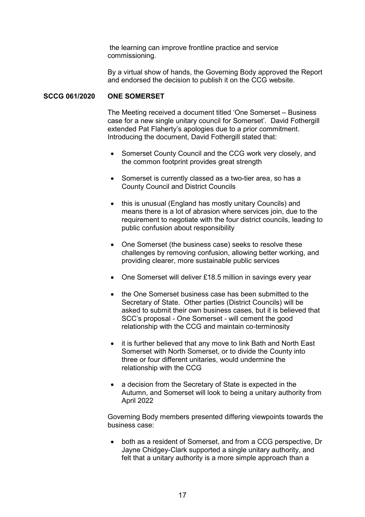the learning can improve frontline practice and service commissioning.

 By a virtual show of hands, the Governing Body approved the Report and endorsed the decision to publish it on the CCG website.

## **SCCG 061/2020 ONE SOMERSET**

 The Meeting received a document titled 'One Somerset – Business case for a new single unitary council for Somerset'. David Fothergill extended Pat Flaherty's apologies due to a prior commitment. Introducing the document, David Fothergill stated that:

- Somerset County Council and the CCG work very closely, and the common footprint provides great strength
- Somerset is currently classed as a two-tier area, so has a County Council and District Councils
- this is unusual (England has mostly unitary Councils) and means there is a lot of abrasion where services join, due to the requirement to negotiate with the four district councils, leading to public confusion about responsibility
- One Somerset (the business case) seeks to resolve these challenges by removing confusion, allowing better working, and providing clearer, more sustainable public services
- One Somerset will deliver £18.5 million in savings every year
- the One Somerset business case has been submitted to the Secretary of State. Other parties (District Councils) will be asked to submit their own business cases, but it is believed that SCC's proposal - One Somerset - will cement the good relationship with the CCG and maintain co-terminosity
- it is further believed that any move to link Bath and North East Somerset with North Somerset, or to divide the County into three or four different unitaries, would undermine the relationship with the CCG
- a decision from the Secretary of State is expected in the Autumn, and Somerset will look to being a unitary authority from April 2022

 Governing Body members presented differing viewpoints towards the business case:

 both as a resident of Somerset, and from a CCG perspective, Dr Jayne Chidgey-Clark supported a single unitary authority, and felt that a unitary authority is a more simple approach than a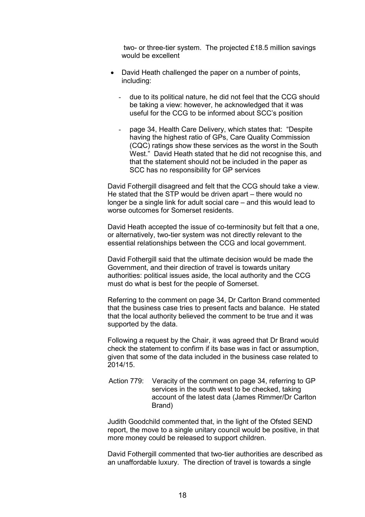two- or three-tier system. The projected £18.5 million savings would be excellent

- David Heath challenged the paper on a number of points, including:
	- due to its political nature, he did not feel that the CCG should be taking a view: however, he acknowledged that it was useful for the CCG to be informed about SCC's position
	- page 34, Health Care Delivery, which states that: "Despite having the highest ratio of GPs, Care Quality Commission (CQC) ratings show these services as the worst in the South West." David Heath stated that he did not recognise this, and that the statement should not be included in the paper as SCC has no responsibility for GP services

 David Fothergill disagreed and felt that the CCG should take a view. He stated that the STP would be driven apart – there would no longer be a single link for adult social care – and this would lead to worse outcomes for Somerset residents.

 David Heath accepted the issue of co-terminosity but felt that a one, or alternatively, two-tier system was not directly relevant to the essential relationships between the CCG and local government.

 David Fothergill said that the ultimate decision would be made the Government, and their direction of travel is towards unitary authorities: political issues aside, the local authority and the CCG must do what is best for the people of Somerset.

 Referring to the comment on page 34, Dr Carlton Brand commented that the business case tries to present facts and balance. He stated that the local authority believed the comment to be true and it was supported by the data.

 Following a request by the Chair, it was agreed that Dr Brand would check the statement to confirm if its base was in fact or assumption, given that some of the data included in the business case related to 2014/15.

 Action 779: Veracity of the comment on page 34, referring to GP services in the south west to be checked, taking account of the latest data (James Rimmer/Dr Carlton Brand)

 Judith Goodchild commented that, in the light of the Ofsted SEND report, the move to a single unitary council would be positive, in that more money could be released to support children.

 David Fothergill commented that two-tier authorities are described as an unaffordable luxury. The direction of travel is towards a single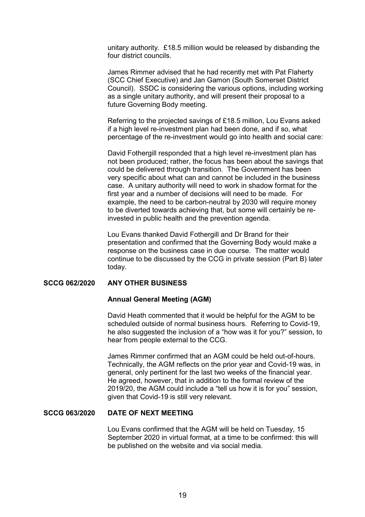unitary authority. £18.5 million would be released by disbanding the four district councils.

 James Rimmer advised that he had recently met with Pat Flaherty (SCC Chief Executive) and Jan Gamon (South Somerset District Council). SSDC is considering the various options, including working as a single unitary authority, and will present their proposal to a future Governing Body meeting.

 Referring to the projected savings of £18.5 million, Lou Evans asked if a high level re-investment plan had been done, and if so, what percentage of the re-investment would go into health and social care:

 David Fothergill responded that a high level re-investment plan has not been produced; rather, the focus has been about the savings that could be delivered through transition. The Government has been very specific about what can and cannot be included in the business case. A unitary authority will need to work in shadow format for the first year and a number of decisions will need to be made. For example, the need to be carbon-neutral by 2030 will require money to be diverted towards achieving that, but some will certainly be reinvested in public health and the prevention agenda.

 Lou Evans thanked David Fothergill and Dr Brand for their presentation and confirmed that the Governing Body would make a response on the business case in due course. The matter would continue to be discussed by the CCG in private session (Part B) later today.

#### **SCCG 062/2020 ANY OTHER BUSINESS**

#### **Annual General Meeting (AGM)**

 David Heath commented that it would be helpful for the AGM to be scheduled outside of normal business hours. Referring to Covid-19, he also suggested the inclusion of a "how was it for you?" session, to hear from people external to the CCG.

 James Rimmer confirmed that an AGM could be held out-of-hours. Technically, the AGM reflects on the prior year and Covid-19 was, in general, only pertinent for the last two weeks of the financial year. He agreed, however, that in addition to the formal review of the 2019/20, the AGM could include a "tell us how it is for you" session, given that Covid-19 is still very relevant.

## **SCCG 063/2020 DATE OF NEXT MEETING**

 Lou Evans confirmed that the AGM will be held on Tuesday, 15 September 2020 in virtual format, at a time to be confirmed: this will be published on the website and via social media.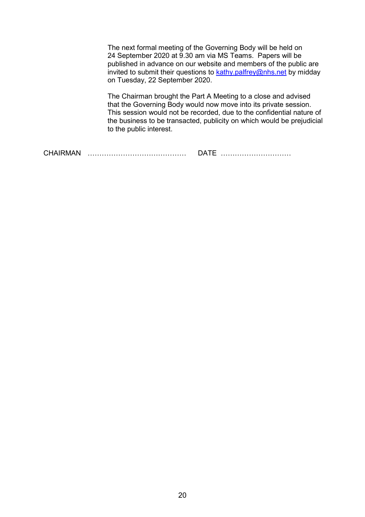The next formal meeting of the Governing Body will be held on 24 September 2020 at 9.30 am via MS Teams. Papers will be published in advance on our website and members of the public are invited to submit their questions to  $k$ athy.palfrey@nhs.net by midday on Tuesday, 22 September 2020.

 The Chairman brought the Part A Meeting to a close and advised that the Governing Body would now move into its private session. This session would not be recorded, due to the confidential nature of the business to be transacted, publicity on which would be prejudicial to the public interest.

CHAIRMAN …………………………………… DATE …………………………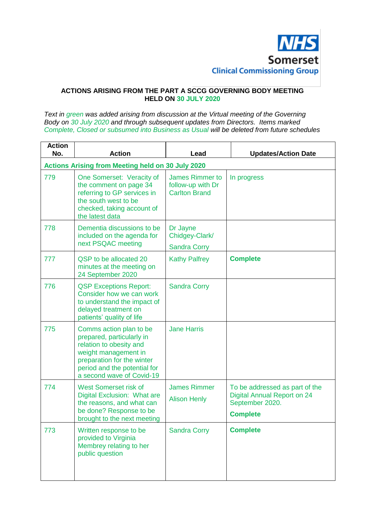

## **ACTIONS ARISING FROM THE PART A SCCG GOVERNING BODY MEETING HELD ON 30 JULY 2020**

*Text in green was added arising from discussion at the Virtual meeting of the Governing Body on 30 July 2020 and through subsequent updates from Directors. Items marked Complete, Closed or subsumed into Business as Usual will be deleted from future schedules*

| <b>Action</b><br>No. | <b>Action</b>                                                                                                                                                                                      | Lead                                                                | <b>Updates/Action Date</b>                                                                                 |  |  |
|----------------------|----------------------------------------------------------------------------------------------------------------------------------------------------------------------------------------------------|---------------------------------------------------------------------|------------------------------------------------------------------------------------------------------------|--|--|
|                      | <b>Actions Arising from Meeting held on 30 July 2020</b>                                                                                                                                           |                                                                     |                                                                                                            |  |  |
| 779                  | One Somerset: Veracity of<br>the comment on page 34<br>referring to GP services in<br>the south west to be<br>checked, taking account of<br>the latest data                                        | <b>James Rimmer to</b><br>follow-up with Dr<br><b>Carlton Brand</b> | In progress                                                                                                |  |  |
| 778                  | Dementia discussions to be<br>included on the agenda for<br>next PSQAC meeting                                                                                                                     | Dr Jayne<br>Chidgey-Clark/<br><b>Sandra Corry</b>                   |                                                                                                            |  |  |
| 777                  | QSP to be allocated 20<br>minutes at the meeting on<br>24 September 2020                                                                                                                           | <b>Kathy Palfrey</b>                                                | <b>Complete</b>                                                                                            |  |  |
| 776                  | <b>QSP Exceptions Report:</b><br>Consider how we can work<br>to understand the impact of<br>delayed treatment on<br>patients' quality of life                                                      | <b>Sandra Corry</b>                                                 |                                                                                                            |  |  |
| 775                  | Comms action plan to be<br>prepared, particularly in<br>relation to obesity and<br>weight management in<br>preparation for the winter<br>period and the potential for<br>a second wave of Covid-19 | <b>Jane Harris</b>                                                  |                                                                                                            |  |  |
| 774                  | West Somerset risk of<br>Digital Exclusion: What are<br>the reasons, and what can<br>be done? Response to be<br>brought to the next meeting                                                        | <b>James Rimmer</b><br><b>Alison Henly</b>                          | To be addressed as part of the<br><b>Digital Annual Report on 24</b><br>September 2020.<br><b>Complete</b> |  |  |
| 773                  | Written response to be<br>provided to Virginia<br>Membrey relating to her<br>public question                                                                                                       | <b>Sandra Corry</b>                                                 | <b>Complete</b>                                                                                            |  |  |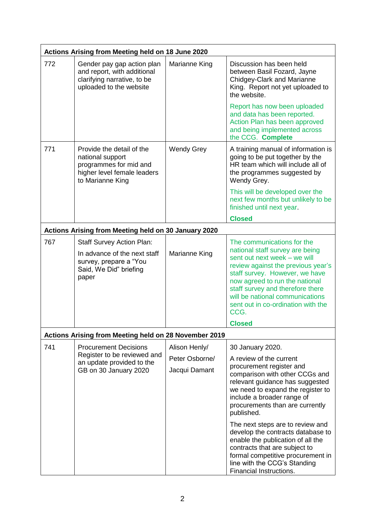| Actions Arising from Meeting held on 18 June 2020 |                                                                                                                               |                   |                                                                                                                                                                                                                                                                                                                              |
|---------------------------------------------------|-------------------------------------------------------------------------------------------------------------------------------|-------------------|------------------------------------------------------------------------------------------------------------------------------------------------------------------------------------------------------------------------------------------------------------------------------------------------------------------------------|
| 772                                               | Gender pay gap action plan<br>and report, with additional<br>clarifying narrative, to be<br>uploaded to the website           | Marianne King     | Discussion has been held<br>between Basil Fozard, Jayne<br><b>Chidgey-Clark and Marianne</b><br>King. Report not yet uploaded to<br>the website.                                                                                                                                                                             |
|                                                   |                                                                                                                               |                   | Report has now been uploaded<br>and data has been reported.<br>Action Plan has been approved<br>and being implemented across<br>the CCG. Complete                                                                                                                                                                            |
| 771                                               | Provide the detail of the<br>national support<br>programmes for mid and<br>higher level female leaders<br>to Marianne King    | <b>Wendy Grey</b> | A training manual of information is<br>going to be put together by the<br>HR team which will include all of<br>the programmes suggested by<br>Wendy Grey.                                                                                                                                                                    |
|                                                   |                                                                                                                               |                   | This will be developed over the<br>next few months but unlikely to be<br>finished until next year.                                                                                                                                                                                                                           |
|                                                   |                                                                                                                               |                   | <b>Closed</b>                                                                                                                                                                                                                                                                                                                |
|                                                   | Actions Arising from Meeting held on 30 January 2020                                                                          |                   |                                                                                                                                                                                                                                                                                                                              |
| 767                                               | <b>Staff Survey Action Plan:</b><br>In advance of the next staff<br>survey, prepare a "You<br>Said, We Did" briefing<br>paper | Marianne King     | The communications for the<br>national staff survey are being<br>sent out next week - we will<br>review against the previous year's<br>staff survey. However, we have<br>now agreed to run the national<br>staff survey and therefore there<br>will be national communications<br>sent out in co-ordination with the<br>CCG. |
|                                                   |                                                                                                                               |                   | <b>Closed</b>                                                                                                                                                                                                                                                                                                                |
|                                                   | Actions Arising from Meeting held on 28 November 2019                                                                         |                   |                                                                                                                                                                                                                                                                                                                              |
| 741                                               | <b>Procurement Decisions</b><br>Register to be reviewed and<br>an update provided to the<br>GB on 30 January 2020             | Alison Henly/     | 30 January 2020.                                                                                                                                                                                                                                                                                                             |
|                                                   |                                                                                                                               | Peter Osborne/    | A review of the current                                                                                                                                                                                                                                                                                                      |
|                                                   |                                                                                                                               | Jacqui Damant     | procurement register and<br>comparison with other CCGs and<br>relevant guidance has suggested<br>we need to expand the register to<br>include a broader range of<br>procurements than are currently<br>published.                                                                                                            |
|                                                   |                                                                                                                               |                   | The next steps are to review and<br>develop the contracts database to<br>enable the publication of all the<br>contracts that are subject to<br>formal competitive procurement in<br>line with the CCG's Standing<br>Financial Instructions.                                                                                  |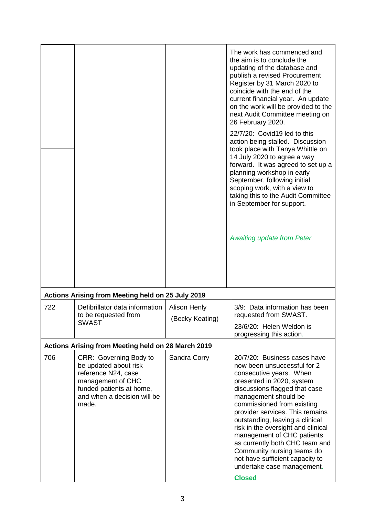|     |                                                                                                                                                                 |                     | The work has commenced and<br>the aim is to conclude the<br>updating of the database and<br>publish a revised Procurement<br>Register by 31 March 2020 to<br>coincide with the end of the<br>current financial year. An update<br>on the work will be provided to the<br>next Audit Committee meeting on<br>26 February 2020.<br>22/7/20: Covid19 led to this<br>action being stalled. Discussion<br>took place with Tanya Whittle on<br>14 July 2020 to agree a way<br>forward. It was agreed to set up a<br>planning workshop in early<br>September, following initial<br>scoping work, with a view to<br>taking this to the Audit Committee<br>in September for support.<br><b>Awaiting update from Peter</b> |
|-----|-----------------------------------------------------------------------------------------------------------------------------------------------------------------|---------------------|------------------------------------------------------------------------------------------------------------------------------------------------------------------------------------------------------------------------------------------------------------------------------------------------------------------------------------------------------------------------------------------------------------------------------------------------------------------------------------------------------------------------------------------------------------------------------------------------------------------------------------------------------------------------------------------------------------------|
|     | Actions Arising from Meeting held on 25 July 2019                                                                                                               |                     |                                                                                                                                                                                                                                                                                                                                                                                                                                                                                                                                                                                                                                                                                                                  |
| 722 | Defibrillator data information<br>to be requested from<br><b>SWAST</b>                                                                                          | <b>Alison Henly</b> | 3/9: Data information has been<br>requested from SWAST.                                                                                                                                                                                                                                                                                                                                                                                                                                                                                                                                                                                                                                                          |
|     |                                                                                                                                                                 | (Becky Keating)     | 23/6/20: Helen Weldon is                                                                                                                                                                                                                                                                                                                                                                                                                                                                                                                                                                                                                                                                                         |
|     |                                                                                                                                                                 |                     | progressing this action.                                                                                                                                                                                                                                                                                                                                                                                                                                                                                                                                                                                                                                                                                         |
|     | Actions Arising from Meeting held on 28 March 2019                                                                                                              |                     |                                                                                                                                                                                                                                                                                                                                                                                                                                                                                                                                                                                                                                                                                                                  |
| 706 | CRR: Governing Body to<br>be updated about risk<br>reference N24, case<br>management of CHC<br>funded patients at home,<br>and when a decision will be<br>made. | Sandra Corry        | 20/7/20: Business cases have<br>now been unsuccessful for 2<br>consecutive years. When<br>presented in 2020, system<br>discussions flagged that case<br>management should be<br>commissioned from existing<br>provider services. This remains<br>outstanding, leaving a clinical<br>risk in the oversight and clinical<br>management of CHC patients<br>as currently both CHC team and<br>Community nursing teams do<br>not have sufficient capacity to<br>undertake case management.<br><b>Closed</b>                                                                                                                                                                                                           |